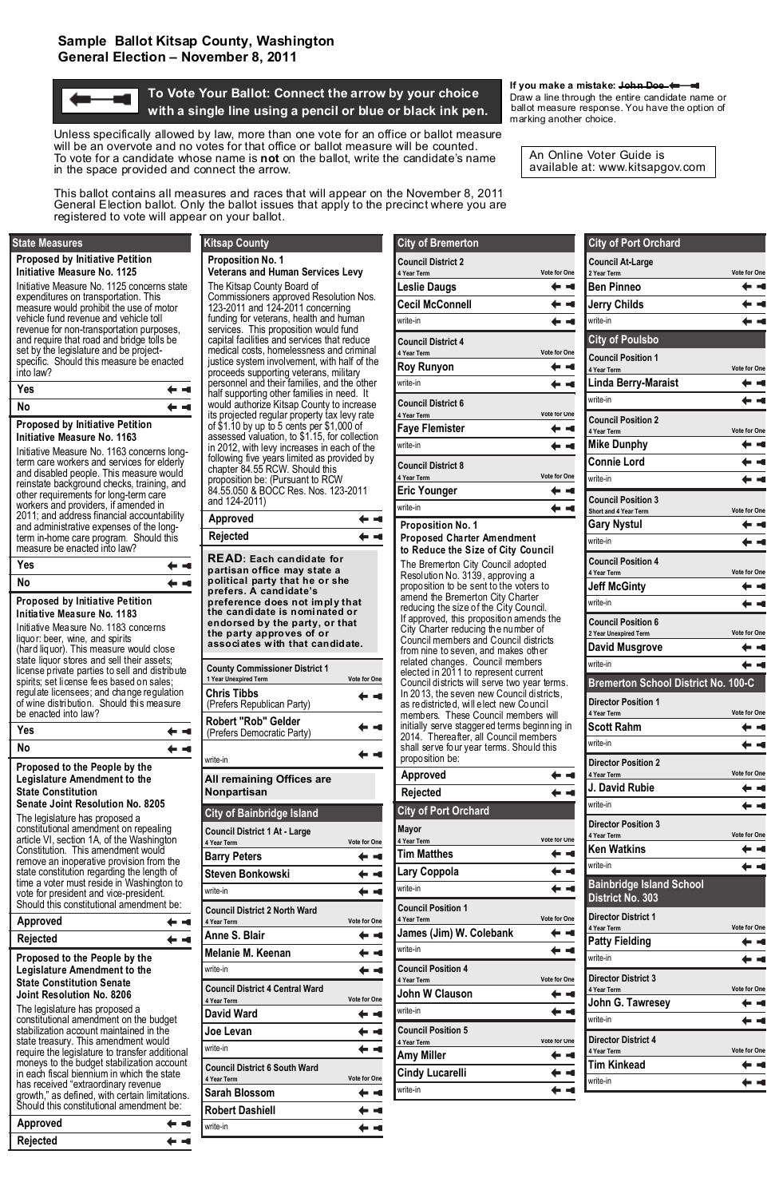

### **Draw a line through the entire candidate name or and To Vote Your Ballot: Connect the arrow by your choice Draw a line through the entire candidate name or ballot measure response. You have the option of**  $\mathbf{b}$  with a single line using a pencil or blue or black ink pencil ballot measure response. You have the option of **1** with a single line using a pencil or blue or black ink pen. **In all part is a pencil of the set of the set of the set of the set of the set of the set of the set of the set of the set of the set of the set of the set o**

#### **If you make a mistake: John Doe**

Unless specifically allowed by law, more than one vote for an office or ballot measure will be an overvote and no votes for that office or ballot measure will be counted. To vote for a candidate whose name is **not** on the ballot, write the candidate's name in the space provided and connect the arrow.

This ballot contains all measures and races that will appear on the November 8, 2011 General Election ballot. Only the ballot issues that apply to the precinct where you are registered to vote will appear on your ballot.

An Online Voter Guide is available at: www.kitsapgov.com

| <b>City of Port Orchard</b>                        |                     |
|----------------------------------------------------|---------------------|
| <b>Council At-Large</b>                            |                     |
| 2 Year Term<br><b>Ben Pinneo</b>                   | <b>Vote for One</b> |
| <b>Jerry Childs</b>                                |                     |
| write-in                                           |                     |
| <b>City of Poulsbo</b>                             |                     |
| <b>Council Position 1</b>                          |                     |
| 4 Year Term                                        | Vote for One        |
| <b>Linda Berry-Maraist</b>                         |                     |
| write-in                                           |                     |
| <b>Council Position 2</b>                          | <b>Vote for One</b> |
| 4 Year Term<br><b>Mike Dunphy</b>                  |                     |
| <b>Connie Lord</b>                                 |                     |
| write-in                                           |                     |
| <b>Council Position 3</b>                          |                     |
| Short and 4 Year Term                              | Vote for One        |
| <b>Gary Nystul</b>                                 |                     |
| write-in                                           |                     |
| <b>Council Position 4</b>                          |                     |
| 4 Year Term<br><b>Jeff McGinty</b>                 | <b>Vote for One</b> |
| write-in                                           |                     |
|                                                    |                     |
| <b>Council Position 6</b><br>2 Year Unexpired Term | Vote for One        |
| <b>David Musgrove</b>                              |                     |
| write-in                                           |                     |
| <b>Bremerton School District No. 100-C</b>         |                     |
| <b>Director Position 1</b>                         |                     |
| 4 Year Term<br><b>Scott Rahm</b>                   | <b>Vote for One</b> |
| write-in                                           |                     |
| <b>Director Position 2</b>                         |                     |
| 4 Year Term                                        | Vote for One        |
| J. David Rubie                                     |                     |
| write-in                                           |                     |
| <b>Director Position 3</b>                         | <b>Vote for One</b> |
| 4 Year Term<br><b>Ken Watkins</b>                  |                     |
| write-in                                           |                     |
| Bainbridge Island School                           |                     |
| <b>District No. 303</b>                            |                     |
| <b>Director District 1</b>                         |                     |
| 4 Year Term<br><b>Patty Fielding</b>               | Vote for One        |
| write-in                                           |                     |
| <b>Director District 3</b>                         |                     |
| 4 Year Term                                        | <b>Vote for One</b> |
| John G. Tawresey                                   |                     |
| write-in                                           |                     |
| <b>Director District 4</b><br>4 Year Term          | Vote for One        |
| Tim Kinkead                                        |                     |
| write-in                                           |                     |
|                                                    |                     |

**Tim Matthes Lary Coppola**

| write-in                                                            |                     |
|---------------------------------------------------------------------|---------------------|
| <b>Council Position 1</b><br>4 Year Term<br>James (Jim) W. Colebank | <b>Vote for One</b> |
| write-in                                                            |                     |
| <b>Council Position 4</b><br>4 Year Term                            | <b>Vote for One</b> |
| John W Clauson                                                      |                     |
| write-in                                                            |                     |
| <b>Council Position 5</b><br>4 Year Term                            | <b>Vote for One</b> |
| <b>Amy Miller</b>                                                   |                     |
| <b>Cindy Lucarelli</b>                                              |                     |
| write-in                                                            |                     |
|                                                                     |                     |

| <b>City of Bremerton</b>                                                                                                                                                                                                                                                                                                                                                                                                                                                                                                                                                                                                                                                                                                                                                                                                                                                                     |                     |
|----------------------------------------------------------------------------------------------------------------------------------------------------------------------------------------------------------------------------------------------------------------------------------------------------------------------------------------------------------------------------------------------------------------------------------------------------------------------------------------------------------------------------------------------------------------------------------------------------------------------------------------------------------------------------------------------------------------------------------------------------------------------------------------------------------------------------------------------------------------------------------------------|---------------------|
| <b>Council District 2</b>                                                                                                                                                                                                                                                                                                                                                                                                                                                                                                                                                                                                                                                                                                                                                                                                                                                                    |                     |
| 4 Year Term<br><b>Leslie Daugs</b>                                                                                                                                                                                                                                                                                                                                                                                                                                                                                                                                                                                                                                                                                                                                                                                                                                                           | <b>Vote for One</b> |
| <b>Cecil McConnell</b>                                                                                                                                                                                                                                                                                                                                                                                                                                                                                                                                                                                                                                                                                                                                                                                                                                                                       |                     |
| write-in                                                                                                                                                                                                                                                                                                                                                                                                                                                                                                                                                                                                                                                                                                                                                                                                                                                                                     |                     |
|                                                                                                                                                                                                                                                                                                                                                                                                                                                                                                                                                                                                                                                                                                                                                                                                                                                                                              |                     |
| <b>Council District 4</b><br>4 Year Term                                                                                                                                                                                                                                                                                                                                                                                                                                                                                                                                                                                                                                                                                                                                                                                                                                                     | <b>Vote for One</b> |
| <b>Roy Runyon</b>                                                                                                                                                                                                                                                                                                                                                                                                                                                                                                                                                                                                                                                                                                                                                                                                                                                                            |                     |
| write-in                                                                                                                                                                                                                                                                                                                                                                                                                                                                                                                                                                                                                                                                                                                                                                                                                                                                                     |                     |
| <b>Council District 6</b>                                                                                                                                                                                                                                                                                                                                                                                                                                                                                                                                                                                                                                                                                                                                                                                                                                                                    |                     |
| 4 Year Term                                                                                                                                                                                                                                                                                                                                                                                                                                                                                                                                                                                                                                                                                                                                                                                                                                                                                  | <b>Vote for One</b> |
| <b>Faye Flemister</b>                                                                                                                                                                                                                                                                                                                                                                                                                                                                                                                                                                                                                                                                                                                                                                                                                                                                        |                     |
| write-in                                                                                                                                                                                                                                                                                                                                                                                                                                                                                                                                                                                                                                                                                                                                                                                                                                                                                     |                     |
| <b>Council District 8</b><br>4 Year Term                                                                                                                                                                                                                                                                                                                                                                                                                                                                                                                                                                                                                                                                                                                                                                                                                                                     | <b>Vote for One</b> |
| <b>Eric Younger</b>                                                                                                                                                                                                                                                                                                                                                                                                                                                                                                                                                                                                                                                                                                                                                                                                                                                                          |                     |
| write-in                                                                                                                                                                                                                                                                                                                                                                                                                                                                                                                                                                                                                                                                                                                                                                                                                                                                                     |                     |
| <b>Proposition No. 1</b><br><b>Proposed Charter Amendment</b><br>to Reduce the Size of City Council<br>The Bremerton City Council adopted<br>Resolution No. 3139, approving a<br>proposition to be sent to the voters to<br>amend the Bremerton City Charter<br>reducing the size of the City Council.<br>If approved, this proposition amends the<br>City Charter reducing the number of<br>Council members and Council districts<br>from nine to seven, and makes other<br>related changes. Council members<br>elected in 2011 to represent current<br>Council districts will serve two year terms.<br>In 2013, the seven new Council districts,<br>as redistricted, will elect new Council<br>members. These Council members will<br>initially serve staggered terms beginning in<br>2014. Thereafter, all Council members<br>shall serve four year terms. Should this<br>proposition be: |                     |
| <b>Approved</b>                                                                                                                                                                                                                                                                                                                                                                                                                                                                                                                                                                                                                                                                                                                                                                                                                                                                              |                     |
| Rejected                                                                                                                                                                                                                                                                                                                                                                                                                                                                                                                                                                                                                                                                                                                                                                                                                                                                                     |                     |
| <b>City of Port Orchard</b>                                                                                                                                                                                                                                                                                                                                                                                                                                                                                                                                                                                                                                                                                                                                                                                                                                                                  |                     |
| Mayor                                                                                                                                                                                                                                                                                                                                                                                                                                                                                                                                                                                                                                                                                                                                                                                                                                                                                        |                     |
| 4 Year Term                                                                                                                                                                                                                                                                                                                                                                                                                                                                                                                                                                                                                                                                                                                                                                                                                                                                                  | <b>Vote for One</b> |

#### **Proposed by Initiative Petition Initiative Measure No. 1163**

Initiative Measure No. 1163 concerns longterm care workers and services for elderly and disabled people. This measure would reinstate background checks, training, and other requirements for long-term care workers and providers, if amended in 2011; and address financial accountability and administrative expenses of the longterm in-home care program. Should this measure be enacted into law?

| Yes | <b><i><u>Community</u></i></b> |
|-----|--------------------------------|
| No  | $\leftarrow$ $-$               |

#### **Proposed by Initiative Petition Initiative Measure No. 1183**

Initiative Measure No. 1183 concerns liquor: beer, wine, and spirits (hard liquor). This measure would close state liquor stores and sell their assets; license private parties to sell and distribute spirits; set license fees based on sales; regulate licensees; and change regulation of wine distribution. Should this measure be enacted into law?

| Yes | 6 - 6 |
|-----|-------|
| No  | a an  |

**Proposed to the People by the Legislature Amendment to the State Constitution Senate Joint Resolution No. 8205** 

| Approved                                                                                                                                                                                                                                                                                       |                     |
|------------------------------------------------------------------------------------------------------------------------------------------------------------------------------------------------------------------------------------------------------------------------------------------------|---------------------|
| Rejected                                                                                                                                                                                                                                                                                       |                     |
| <b>READ: Each candidate for</b><br>partisan office may state a<br>political party that he or she<br>prefers. A candidate's<br>preference does not imply that<br>the candidate is nominated or<br>endorsed by the party, or that<br>the party approves of or<br>associates with that candidate. |                     |
| <b>County Commissioner District 1</b><br>1 Year Unexpired Term                                                                                                                                                                                                                                 | <b>Vote for One</b> |
| <b>Chris Tibbs</b><br>(Prefers Republican Party)                                                                                                                                                                                                                                               | a se                |
| <b>Robert "Rob" Gelder</b><br>(Prefers Democratic Party)                                                                                                                                                                                                                                       |                     |
| write-in                                                                                                                                                                                                                                                                                       |                     |
| All remaining Offices are<br>Nonpartisan                                                                                                                                                                                                                                                       |                     |
| <b>City of Bainbridge Island</b>                                                                                                                                                                                                                                                               |                     |
|                                                                                                                                                                                                                                                                                                |                     |
| <b>Council District 1 At - Large</b><br>4 Year Term                                                                                                                                                                                                                                            | Vote for One        |
| <b>Barry Peters</b>                                                                                                                                                                                                                                                                            |                     |
| <b>Steven Bonkowski</b>                                                                                                                                                                                                                                                                        |                     |
| write-in                                                                                                                                                                                                                                                                                       |                     |
| <b>Council District 2 North Ward</b><br>4 Year Term                                                                                                                                                                                                                                            | <b>Vote for One</b> |
| Anne S. Blair                                                                                                                                                                                                                                                                                  |                     |
| Melanie M. Keenan                                                                                                                                                                                                                                                                              |                     |
| write-in                                                                                                                                                                                                                                                                                       |                     |
| <b>Council District 4 Central Ward</b>                                                                                                                                                                                                                                                         |                     |
| 4 Year Term<br><b>David Ward</b>                                                                                                                                                                                                                                                               | <b>Vote for One</b> |
| Joe Levan                                                                                                                                                                                                                                                                                      |                     |
| write-in                                                                                                                                                                                                                                                                                       |                     |
| <b>Council District 6 South Ward</b>                                                                                                                                                                                                                                                           |                     |
| 4 Year Term<br>Sarah Blossom                                                                                                                                                                                                                                                                   | Vote for One        |
| <b>Robert Dashiell</b>                                                                                                                                                                                                                                                                         |                     |
| write-in                                                                                                                                                                                                                                                                                       |                     |

The legislature has proposed a constitutional amendment on repealing article VI, section 1A, of the Washington Constitution. This amendment would remove an inoperative provision from the state constitution regarding the length of

| time a voter must reside in Washington to<br>vote for president and vice-president.<br>Should this constitutional amendment be:                                                                                                                                                                                                                                                                                                                |  |
|------------------------------------------------------------------------------------------------------------------------------------------------------------------------------------------------------------------------------------------------------------------------------------------------------------------------------------------------------------------------------------------------------------------------------------------------|--|
| <b>Approved</b>                                                                                                                                                                                                                                                                                                                                                                                                                                |  |
| Rejected                                                                                                                                                                                                                                                                                                                                                                                                                                       |  |
| <b>Proposed to the People by the</b><br>Legislature Amendment to the<br><b>State Constitution Senate</b><br><b>Joint Resolution No. 8206</b>                                                                                                                                                                                                                                                                                                   |  |
| The legislature has proposed a<br>constitutional amendment on the budget<br>stabilization account maintained in the<br>state treasury. This amendment would<br>require the legislature to transfer additional<br>moneys to the budget stabilization account<br>in each fiscal biennium in which the state<br>has received "extraordinary revenue<br>growth," as defined, with certain limitations.<br>Should this constitutional amendment be: |  |
| <b>Approved</b>                                                                                                                                                                                                                                                                                                                                                                                                                                |  |
| Rejected                                                                                                                                                                                                                                                                                                                                                                                                                                       |  |

## **Proposition No. 1**

**Veterans and Human Services Levy**  The Kitsap County Board of Commissioners approved Resolution Nos. 123-2011 and 124-2011 concerning funding for veterans, health and human services. This proposition would fund capital facilities and services that reduce medical costs, homelessness and criminal justice system involvement, with half of the proceeds supporting veterans, military personnel and their families, and the other half supporting other families in need. It would authorize Kitsap County to increase its projected regular property tax levy rate of \$1.10 by up to 5 cents per \$1,000 of assessed valuation, to \$1.15, for collection in 2012, with levy increases in each of the following five years limited as provided by chapter 84.55 RCW. Should this proposition be: (Pursuant to RCW 84.55.050 & BOCC Res. Nos. 123-2011 and 124-2011)

# **Kitsap County**

#### **Proposed by Initiative Petition Initiative Measure No. 1125**

Initiative Measure No. 1125 concerns state expenditures on transportation. This measure would prohibit the use of motor vehicle fund revenue and vehicle toll revenue for non-transportation purposes, and require that road and bridge tolls be set by the legislature and be projectspecific. Should this measure be enacted into law?

### **State Measures**

| Yes | $\leftarrow$ $-$ |
|-----|------------------|
| No  | $\leftarrow -$   |